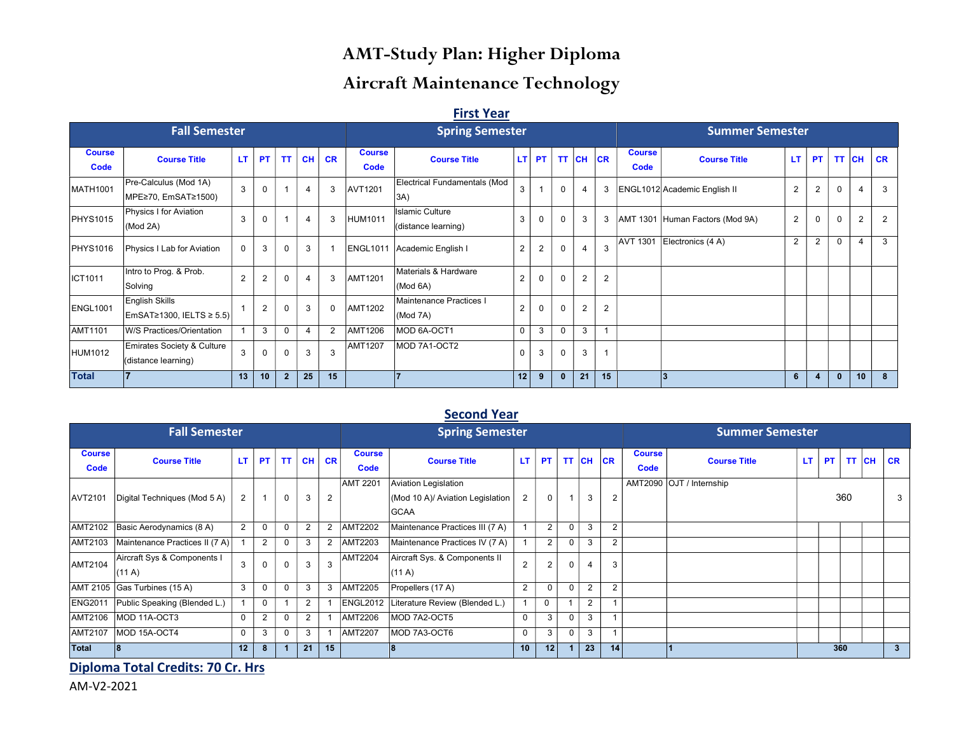# AMT-Study Plan: Higher Diploma

# Aircraft Maintenance Technology

#### First Year

|                       | <b>Fall Semester</b>                                              |             |                |                |           |           |                       | <b>Spring Semester</b>                        |              |                |              |                | <b>Summer Semester</b> |                              |                                 |                |                |              |    |           |
|-----------------------|-------------------------------------------------------------------|-------------|----------------|----------------|-----------|-----------|-----------------------|-----------------------------------------------|--------------|----------------|--------------|----------------|------------------------|------------------------------|---------------------------------|----------------|----------------|--------------|----|-----------|
| <b>Course</b><br>Code | <b>Course Title</b>                                               | LТ          | <b>PT</b>      | <b>TT</b>      | <b>CH</b> | <b>CR</b> | <b>Course</b><br>Code | <b>Course Title</b>                           | LT I         | <b>PT</b>      | <b>TT</b>    | <b>CH</b>      | CR                     | <b>Course</b><br><b>Code</b> | <b>Course Title</b>             | LT.            | <b>PT</b>      | TT CH        |    | <b>CR</b> |
| MATH1001              | Pre-Calculus (Mod 1A)<br>MPE≥70, EmSAT≥1500)                      | 3           | 0              |                | 4         | 3         | <b>AVT1201</b>        | Electrical Fundamentals (Mod<br>3A)           | 3            |                | $\Omega$     | $\overline{4}$ | 3                      |                              | ENGL1012 Academic English II    | $\overline{2}$ | $\overline{2}$ | $\Omega$     |    | 3         |
| PHYS1015              | Physics I for Aviation<br>(Mod 2A)                                | 3           | 0              |                | 4         | 3         | <b>HUM1011</b>        | <b>Islamic Culture</b><br>(distance learning) | $\mathbf{3}$ | $\mathbf 0$    | $\Omega$     | 3              | 3                      |                              | AMT 1301 Human Factors (Mod 9A) | $\overline{2}$ | $\mathbf 0$    | $\Omega$     | 2  | 2         |
| <b>PHYS1016</b>       | Physics I Lab for Aviation                                        | $\mathbf 0$ | 3              | 0              | 3         |           | <b>ENGL1011</b>       | Academic English I                            | 2            | $\overline{2}$ |              | $\overline{4}$ | 3                      | <b>AVT 1301</b>              | Electronics (4 A)               | 2              | 2              | $\Omega$     | 4  | 3         |
| ICT1011               | Intro to Prog. & Prob.<br>Solving                                 | 2           | $\overline{2}$ | O              | 4         | 3         | <b>AMT1201</b>        | Materials & Hardware<br>(Mod 6A)              | 2            | $\mathbf 0$    | $\Omega$     | $\overline{2}$ | $\overline{2}$         |                              |                                 |                |                |              |    |           |
| ENGL1001              | English Skills<br>$\textsf{EmSAT≥1300}, \textsf{IELTS} \geq 5.5)$ |             | $\overline{2}$ |                | 3         |           | <b>AMT1202</b>        | Maintenance Practices I<br>(Mod 7A)           | 2            | $\mathbf 0$    | $\Omega$     | $\overline{2}$ | $\overline{2}$         |                              |                                 |                |                |              |    |           |
| <b>AMT1101</b>        | W/S Practices/Orientation                                         |             | 3              |                | 4         | 2         | <b>AMT1206</b>        | MOD 6A-OCT1                                   | 0            | 3              | $\Omega$     | 3              | 1                      |                              |                                 |                |                |              |    |           |
| HUM1012               | Emirates Society & Culture<br>(distance learning)                 | 3           | 0              |                | 3         | 3         | <b>AMT1207</b>        | MOD 7A1-OCT2                                  | 0            | 3              | $\mathbf 0$  | 3              | $\overline{1}$         |                              |                                 |                |                |              |    |           |
| <b>Total</b>          |                                                                   | 13          | 10             | $\overline{2}$ | 25        | 15        |                       | 17                                            | 12           | 9              | $\mathbf{0}$ | 21             | 15                     |                              | 3                               | 6              | $\overline{4}$ | $\mathbf{0}$ | 10 | 8         |

### **Second Year**

|                       | <b>Fall Semester</b>                 |     |                |             |              |                |                       | <b>Spring Semester</b>                                                  |                |                 |          |                 | <b>Summer Semester</b> |                       |                          |     |  |              |  |              |
|-----------------------|--------------------------------------|-----|----------------|-------------|--------------|----------------|-----------------------|-------------------------------------------------------------------------|----------------|-----------------|----------|-----------------|------------------------|-----------------------|--------------------------|-----|--|--------------|--|--------------|
| <b>Course</b><br>Code | <b>Course Title</b>                  | LT. | <b>PT</b>      | <b>TT</b>   | <b>CH</b>    | <b>CR</b>      | <b>Course</b><br>Code | <b>Course Title</b>                                                     | LT.            | <b>PT</b>       |          | <b>TT CH CR</b> |                        | <b>Course</b><br>Code | <b>Course Title</b>      | LT. |  | $PT$ TT $CH$ |  | $ $ CR       |
| AVT2101               | Digital Techniques (Mod 5 A)         | 2   | $\overline{1}$ | $\mathbf 0$ | 3            | 2              | <b>AMT 2201</b>       | Aviation Legislation<br>(Mod 10 A)/ Aviation Legislation<br><b>GCAA</b> | 2              | $\Omega$        |          | 3               | $\overline{2}$         |                       | AMT2090 OJT / Internship | 360 |  |              |  | 3            |
| AMT2102               | Basic Aerodynamics (8 A)             | 2   | $\Omega$       | 0           | 2            | $\overline{2}$ | <b>AMT2202</b>        | Maintenance Practices III (7 A)                                         |                | $\overline{2}$  | $\Omega$ | 3               | 2                      |                       |                          |     |  |              |  |              |
| AMT2103               | Maintenance Practices II (7 A)       |     | $\overline{2}$ | 0           | 3            | $\overline{2}$ | <b>AMT2203</b>        | Maintenance Practices IV (7 A)                                          |                | $\overline{2}$  | $\Omega$ | 3               | $\overline{2}$         |                       |                          |     |  |              |  |              |
| <b>AMT2104</b>        | Aircraft Sys & Components I<br>(11A) | 3   |                | $\mathbf 0$ | $\mathbf{3}$ | 3              | <b>AMT2204</b>        | Aircraft Sys. & Components II<br>(11A)                                  | $\overline{2}$ | $\overline{2}$  | $\Omega$ | $\overline{4}$  | 3                      |                       |                          |     |  |              |  |              |
|                       | AMT 2105 Gas Turbines (15 A)         | 3   | $\Omega$       | 0           | 3            | 3              | <b>AMT2205</b>        | Propellers (17 A)                                                       | 2              |                 | $\Omega$ | 2               | $\overline{2}$         |                       |                          |     |  |              |  |              |
| <b>ENG2011</b>        | Public Speaking (Blended L.)         |     |                |             | 2            |                | <b>ENGL2012</b>       | Literature Review (Blended L.)                                          |                | $\Omega$        |          | 2               |                        |                       |                          |     |  |              |  |              |
| AMT2106               | MOD 11A-OCT3                         | 0   | $\overline{2}$ | 0           | 2            |                | <b>AMT2206</b>        | MOD 7A2-OCT5                                                            | 0              | 3               | $\Omega$ | 3               |                        |                       |                          |     |  |              |  |              |
| AMT2107               | MOD 15A-OCT4                         | 0   | 3              | 0           | 3            |                | <b>AMT2207</b>        | MOD 7A3-OCT6                                                            | 0              | 3               | 0        | 3               |                        |                       |                          |     |  |              |  |              |
| <b>Total</b>          | 8                                    | 12  | 8              |             | 21           | 15             |                       | 18                                                                      | 10             | 12 <sub>1</sub> |          | 23              | 14                     |                       |                          | 360 |  |              |  | $\mathbf{3}$ |

Diploma Total Credits: 70 Cr. Hrs

AM-V2-2021